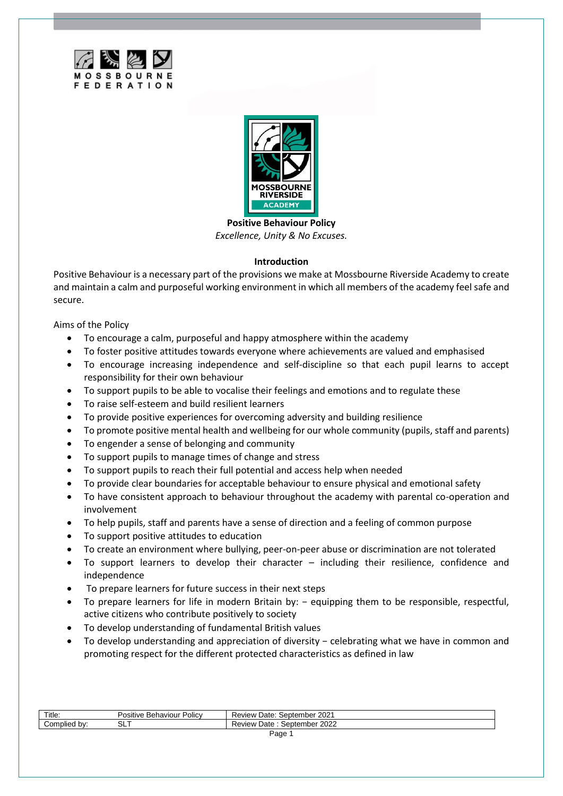



**Positive Behaviour Policy** *Excellence, Unity & No Excuses.*

## **Introduction**

Positive Behaviour is a necessary part of the provisions we make at Mossbourne Riverside Academy to create and maintain a calm and purposeful working environment in which all members of the academy feel safe and secure.

Aims of the Policy

- To encourage a calm, purposeful and happy atmosphere within the academy
- To foster positive attitudes towards everyone where achievements are valued and emphasised
- To encourage increasing independence and self-discipline so that each pupil learns to accept responsibility for their own behaviour
- To support pupils to be able to vocalise their feelings and emotions and to regulate these
- To raise self-esteem and build resilient learners
- To provide positive experiences for overcoming adversity and building resilience
- To promote positive mental health and wellbeing for our whole community (pupils, staff and parents)
- To engender a sense of belonging and community
- To support pupils to manage times of change and stress
- To support pupils to reach their full potential and access help when needed
- To provide clear boundaries for acceptable behaviour to ensure physical and emotional safety
- To have consistent approach to behaviour throughout the academy with parental co-operation and involvement
- To help pupils, staff and parents have a sense of direction and a feeling of common purpose
- To support positive attitudes to education
- To create an environment where bullying, peer-on-peer abuse or discrimination are not tolerated
- To support learners to develop their character including their resilience, confidence and independence
- To prepare learners for future success in their next steps
- To prepare learners for life in modern Britain by: − equipping them to be responsible, respectful, active citizens who contribute positively to society
- To develop understanding of fundamental British values
- To develop understanding and appreciation of diversity − celebrating what we have in common and promoting respect for the different protected characteristics as defined in law

| Title:       | Policy<br>Positive<br>Behaviour | .202 <sup>4</sup><br>Review<br>Date: S<br>September |
|--------------|---------------------------------|-----------------------------------------------------|
| Complied by: | ◡└╹                             | 2022<br>Review<br>Date<br>September '               |
| Page         |                                 |                                                     |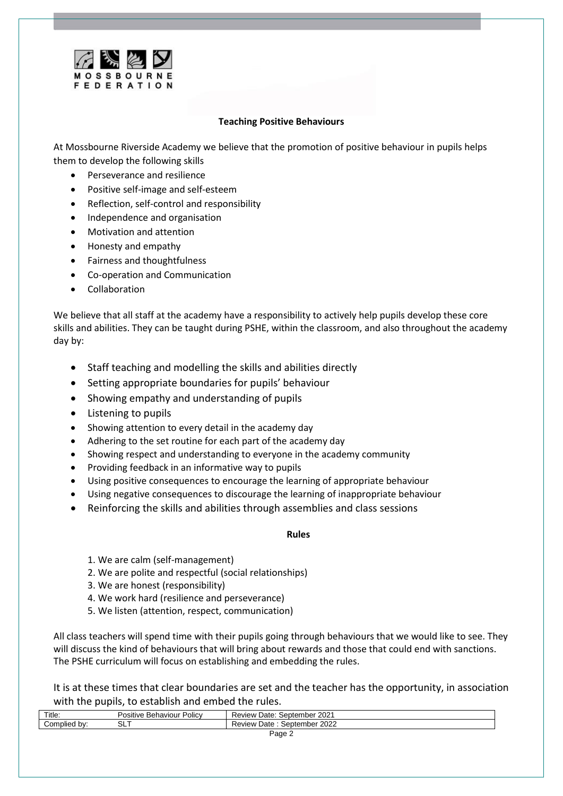

## **Teaching Positive Behaviours**

At Mossbourne Riverside Academy we believe that the promotion of positive behaviour in pupils helps them to develop the following skills

- Perseverance and resilience
- Positive self-image and self-esteem
- Reflection, self-control and responsibility
- Independence and organisation
- Motivation and attention
- Honesty and empathy
- Fairness and thoughtfulness
- Co-operation and Communication
- **Collaboration**

We believe that all staff at the academy have a responsibility to actively help pupils develop these core skills and abilities. They can be taught during PSHE, within the classroom, and also throughout the academy day by:

- Staff teaching and modelling the skills and abilities directly
- Setting appropriate boundaries for pupils' behaviour
- Showing empathy and understanding of pupils
- Listening to pupils
- Showing attention to every detail in the academy day
- Adhering to the set routine for each part of the academy day
- Showing respect and understanding to everyone in the academy community
- Providing feedback in an informative way to pupils
- Using positive consequences to encourage the learning of appropriate behaviour
- Using negative consequences to discourage the learning of inappropriate behaviour
- Reinforcing the skills and abilities through assemblies and class sessions

### **Rules**

- 1. We are calm (self-management)
- 2. We are polite and respectful (social relationships)
- 3. We are honest (responsibility)
- 4. We work hard (resilience and perseverance)
- 5. We listen (attention, respect, communication)

All class teachers will spend time with their pupils going through behaviours that we would like to see. They will discuss the kind of behaviours that will bring about rewards and those that could end with sanctions. The PSHE curriculum will focus on establishing and embedding the rules.

It is at these times that clear boundaries are set and the teacher has the opportunity, in association with the pupils, to establish and embed the rules.

| Title:          | Policy<br>Behaviour<br>Positive | September 2021<br>Date:<br>Review |
|-----------------|---------------------------------|-----------------------------------|
| Complied<br>bv: | -<br>ົ<br>◡∟                    | September 2022<br>Date<br>Review  |
|                 | □age<br>-                       |                                   |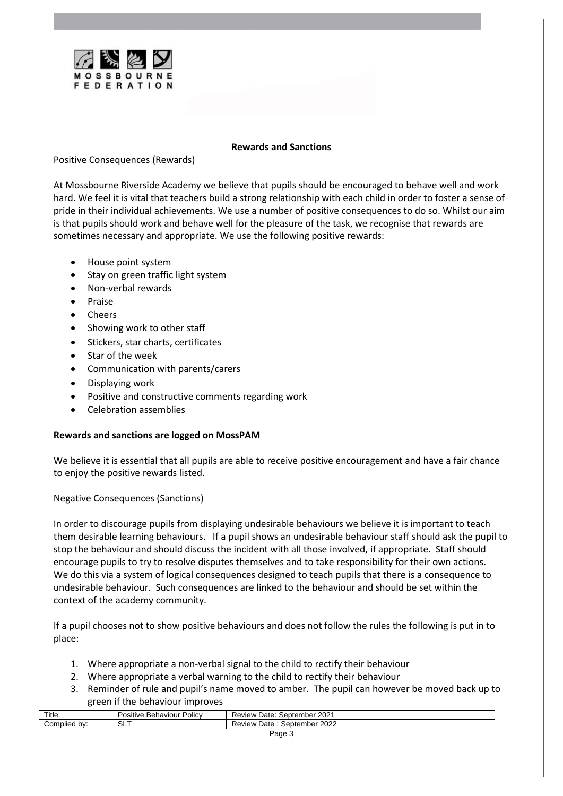

#### **Rewards and Sanctions**

## Positive Consequences (Rewards)

At Mossbourne Riverside Academy we believe that pupils should be encouraged to behave well and work hard. We feel it is vital that teachers build a strong relationship with each child in order to foster a sense of pride in their individual achievements. We use a number of positive consequences to do so. Whilst our aim is that pupils should work and behave well for the pleasure of the task, we recognise that rewards are sometimes necessary and appropriate. We use the following positive rewards:

- House point system
- Stay on green traffic light system
- Non-verbal rewards
- Praise
- Cheers
- Showing work to other staff
- Stickers, star charts, certificates
- Star of the week
- Communication with parents/carers
- Displaying work
- Positive and constructive comments regarding work
- Celebration assemblies

## **Rewards and sanctions are logged on MossPAM**

We believe it is essential that all pupils are able to receive positive encouragement and have a fair chance to enjoy the positive rewards listed.

Negative Consequences (Sanctions)

In order to discourage pupils from displaying undesirable behaviours we believe it is important to teach them desirable learning behaviours. If a pupil shows an undesirable behaviour staff should ask the pupil to stop the behaviour and should discuss the incident with all those involved, if appropriate. Staff should encourage pupils to try to resolve disputes themselves and to take responsibility for their own actions. We do this via a system of logical consequences designed to teach pupils that there is a consequence to undesirable behaviour. Such consequences are linked to the behaviour and should be set within the context of the academy community.

If a pupil chooses not to show positive behaviours and does not follow the rules the following is put in to place:

- 1. Where appropriate a non-verbal signal to the child to rectify their behaviour
- 2. Where appropriate a verbal warning to the child to rectify their behaviour
- 3. Reminder of rule and pupil's name moved to amber. The pupil can however be moved back up to green if the behaviour improves

| Title:       | Policv<br>Positive<br>. Behaviour | September 2021<br>Date:<br>Review |
|--------------|-----------------------------------|-----------------------------------|
| Complied by: | ¬'<br>◡└╹                         | September 2022<br>Date<br>Review  |
| Page 3       |                                   |                                   |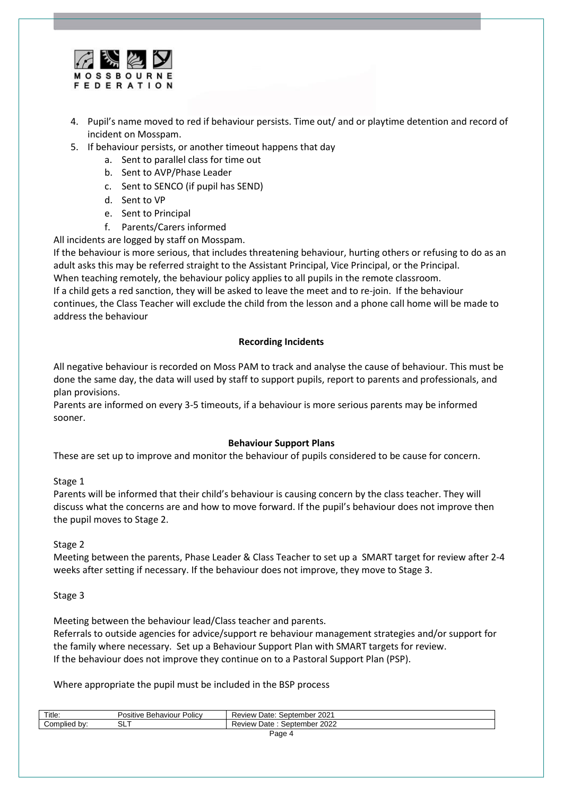

- 4. Pupil's name moved to red if behaviour persists. Time out/ and or playtime detention and record of incident on Mosspam.
- 5. If behaviour persists, or another timeout happens that day
	- a. Sent to parallel class for time out
	- b. Sent to AVP/Phase Leader
	- c. Sent to SENCO (if pupil has SEND)
	- d. Sent to VP
	- e. Sent to Principal
	- f. Parents/Carers informed

All incidents are logged by staff on Mosspam.

If the behaviour is more serious, that includes threatening behaviour, hurting others or refusing to do as an adult asks this may be referred straight to the Assistant Principal, Vice Principal, or the Principal. When teaching remotely, the behaviour policy applies to all pupils in the remote classroom. If a child gets a red sanction, they will be asked to leave the meet and to re-join. If the behaviour continues, the Class Teacher will exclude the child from the lesson and a phone call home will be made to address the behaviour

## **Recording Incidents**

All negative behaviour is recorded on Moss PAM to track and analyse the cause of behaviour. This must be done the same day, the data will used by staff to support pupils, report to parents and professionals, and plan provisions.

Parents are informed on every 3-5 timeouts, if a behaviour is more serious parents may be informed sooner.

## **Behaviour Support Plans**

These are set up to improve and monitor the behaviour of pupils considered to be cause for concern.

## Stage 1

Parents will be informed that their child's behaviour is causing concern by the class teacher. They will discuss what the concerns are and how to move forward. If the pupil's behaviour does not improve then the pupil moves to Stage 2.

## Stage 2

Meeting between the parents, Phase Leader & Class Teacher to set up a SMART target for review after 2-4 weeks after setting if necessary. If the behaviour does not improve, they move to Stage 3.

## Stage 3

Meeting between the behaviour lead/Class teacher and parents.

Referrals to outside agencies for advice/support re behaviour management strategies and/or support for the family where necessary. Set up a Behaviour Support Plan with SMART targets for review. If the behaviour does not improve they continue on to a Pastoral Support Plan (PSP).

Where appropriate the pupil must be included in the BSP process

| Title:          | Policy<br>Positive Behaviour | September 2021<br>Date:<br>Review |  |
|-----------------|------------------------------|-----------------------------------|--|
| Complied<br>bv: | ∼ ∼<br>ື                     | September 2022<br>Date<br>Review  |  |
|                 | Page                         |                                   |  |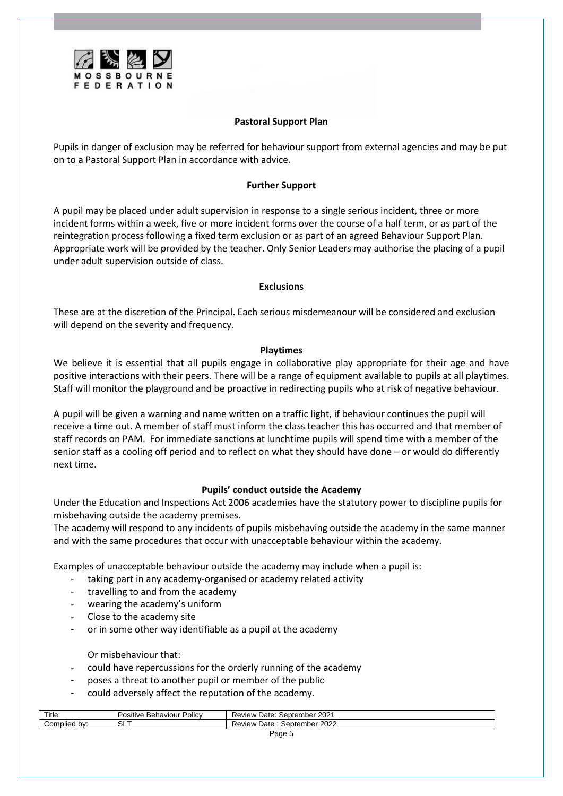

## **Pastoral Support Plan**

Pupils in danger of exclusion may be referred for behaviour support from external agencies and may be put on to a Pastoral Support Plan in accordance with advice.

### **Further Support**

A pupil may be placed under adult supervision in response to a single serious incident, three or more incident forms within a week, five or more incident forms over the course of a half term, or as part of the reintegration process following a fixed term exclusion or as part of an agreed Behaviour Support Plan. Appropriate work will be provided by the teacher. Only Senior Leaders may authorise the placing of a pupil under adult supervision outside of class.

#### **Exclusions**

These are at the discretion of the Principal. Each serious misdemeanour will be considered and exclusion will depend on the severity and frequency.

#### **Playtimes**

We believe it is essential that all pupils engage in collaborative play appropriate for their age and have positive interactions with their peers. There will be a range of equipment available to pupils at all playtimes. Staff will monitor the playground and be proactive in redirecting pupils who at risk of negative behaviour.

A pupil will be given a warning and name written on a traffic light, if behaviour continues the pupil will receive a time out. A member of staff must inform the class teacher this has occurred and that member of staff records on PAM. For immediate sanctions at lunchtime pupils will spend time with a member of the senior staff as a cooling off period and to reflect on what they should have done – or would do differently next time.

## **Pupils' conduct outside the Academy**

Under the Education and Inspections Act 2006 academies have the statutory power to discipline pupils for misbehaving outside the academy premises.

The academy will respond to any incidents of pupils misbehaving outside the academy in the same manner and with the same procedures that occur with unacceptable behaviour within the academy.

Examples of unacceptable behaviour outside the academy may include when a pupil is:

- taking part in any academy-organised or academy related activity
- travelling to and from the academy
- wearing the academy's uniform
- Close to the academy site
- or in some other way identifiable as a pupil at the academy

Or misbehaviour that:

- could have repercussions for the orderly running of the academy
- poses a threat to another pupil or member of the public
- could adversely affect the reputation of the academy.

| Title:          | Policy<br>Positive<br>. Behaviour | . September 2021<br>Date:<br>Review |  |
|-----------------|-----------------------------------|-------------------------------------|--|
| Complied<br>bv: | ¬'<br>ື້                          | September 2022<br>Review<br>Date    |  |
| Page J          |                                   |                                     |  |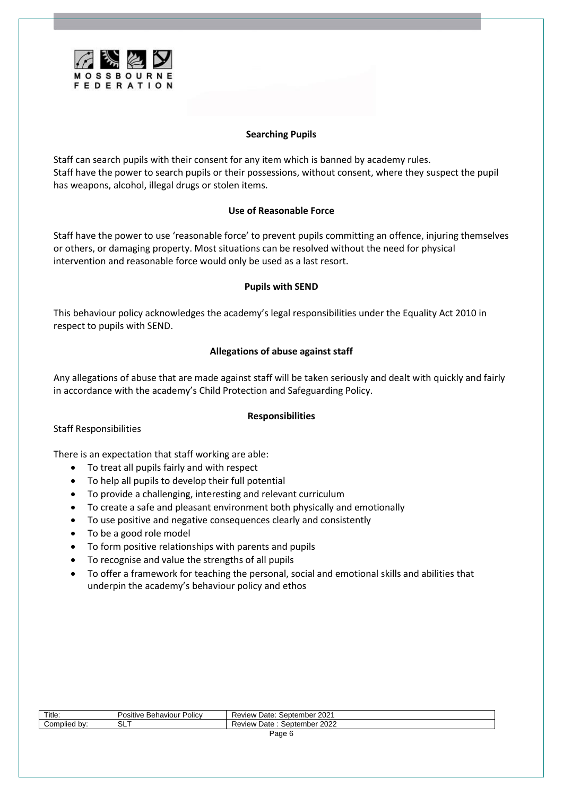

## **Searching Pupils**

Staff can search pupils with their consent for any item which is banned by academy rules. Staff have the power to search pupils or their possessions, without consent, where they suspect the pupil has weapons, alcohol, illegal drugs or stolen items.

## **Use of Reasonable Force**

Staff have the power to use 'reasonable force' to prevent pupils committing an offence, injuring themselves or others, or damaging property. Most situations can be resolved without the need for physical intervention and reasonable force would only be used as a last resort.

## **Pupils with SEND**

This behaviour policy acknowledges the academy's legal responsibilities under the Equality Act 2010 in respect to pupils with SEND.

# **Allegations of abuse against staff**

Any allegations of abuse that are made against staff will be taken seriously and dealt with quickly and fairly in accordance with the academy's Child Protection and Safeguarding Policy.

## **Responsibilities**

Staff Responsibilities

There is an expectation that staff working are able:

- To treat all pupils fairly and with respect
- To help all pupils to develop their full potential
- To provide a challenging, interesting and relevant curriculum
- To create a safe and pleasant environment both physically and emotionally
- To use positive and negative consequences clearly and consistently
- To be a good role model
- To form positive relationships with parents and pupils
- To recognise and value the strengths of all pupils
- To offer a framework for teaching the personal, social and emotional skills and abilities that underpin the academy's behaviour policy and ethos

| Title:          | Policy<br>Behaviour<br>Positive | September 2021<br>Date:<br>Review |
|-----------------|---------------------------------|-----------------------------------|
| Complied<br>bv: | ∟ت                              | September 2022<br>Date<br>Review  |
| Page u          |                                 |                                   |